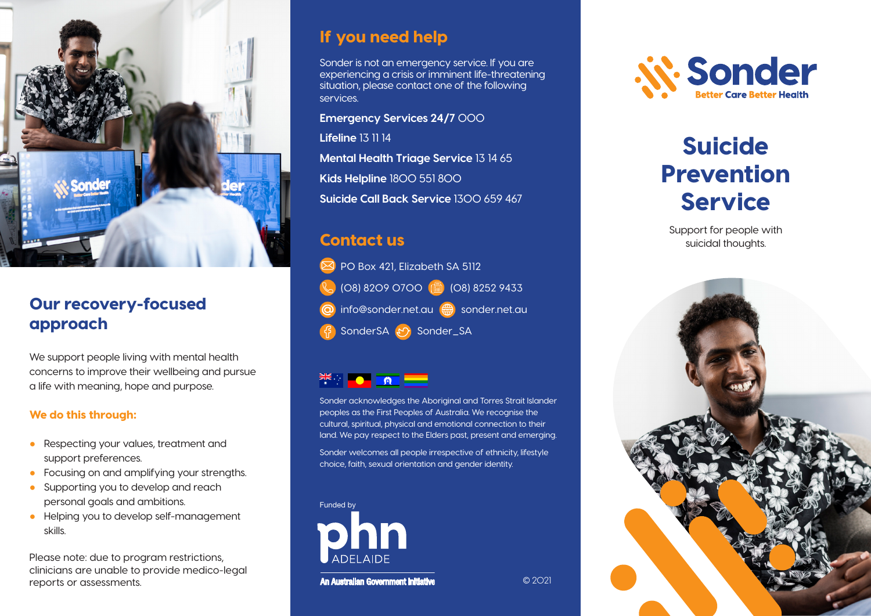

### Our recovery-focused approach

We support people living with mental health concerns to improve their wellbeing and pursue a life with meaning, hope and purpose.

#### We do this through:

- Respecting your values, treatment and support preferences.
- Focusing on and amplifying your strengths.
- Supporting you to develop and reach personal goals and ambitions.
- Helping you to develop self-management skills.

Please note: due to program restrictions, clinicians are unable to provide medico-legal reports or assessments.

# If you need help

Sonder is not an emergency service. If you are experiencing a crisis or imminent life-threatening situation, please contact one of the following services.

**Emergency Services 24/7** 000

**Lifeline** 13 11 14

**Mental Health Triage Service** 13 14 65 **Kids Helpline** 1800 551 800 **Suicide Call Back Service** 1300 659 467

# Contact us

**PO Box 421, Elizabeth SA 5112** (08) 8209 0700 (a) (08) 8252 9433 info@sonder.net.au <sub>sonder.net.au</sub> SonderSA & Sonder\_SA



Sonder acknowledges the Aboriginal and Torres Strait Islander peoples as the First Peoples of Australia. We recognise the cultural, spiritual, physical and emotional connection to their land. We pay respect to the Elders past, present and emerging.

Sonder welcomes all people irrespective of ethnicity, lifestyle choice, faith, sexual orientation and gender identity.

© 2021



An Australian Government Initiative

*N. Sonder* 

# Suicide Prevention Service

Support for people with suicidal thoughts.